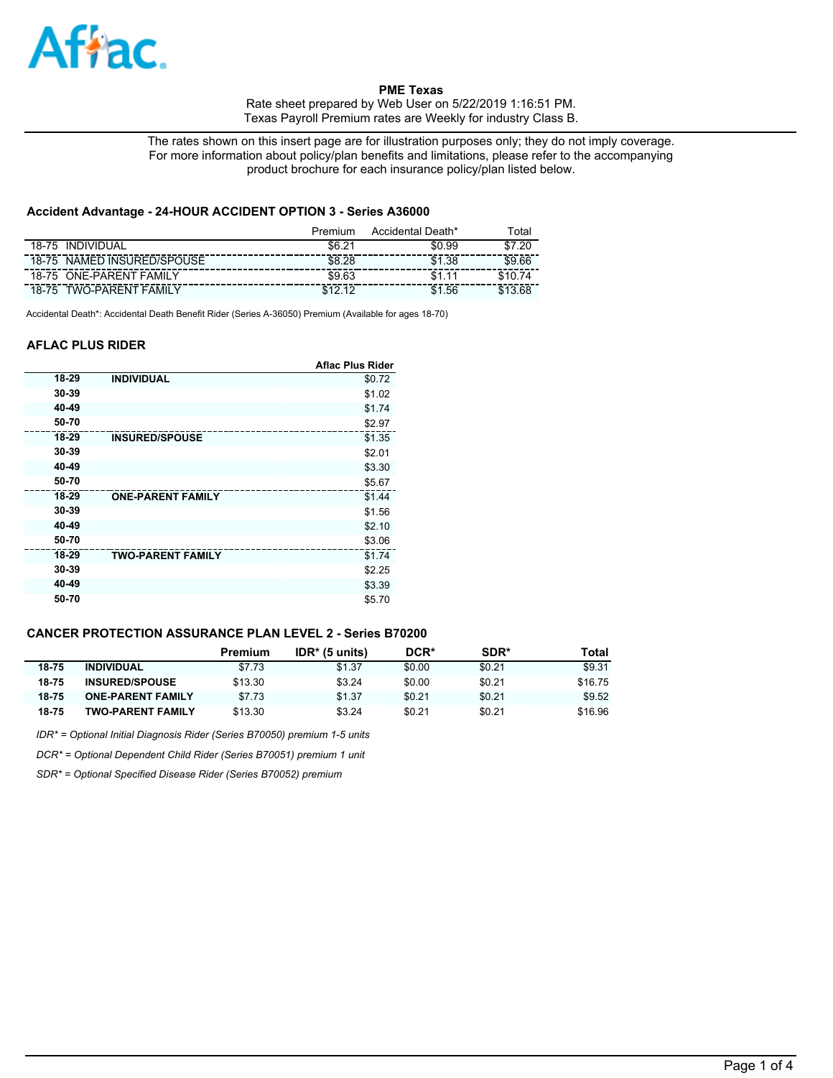

The rates shown on this insert page are for illustration purposes only; they do not imply coverage. For more information about policy/plan benefits and limitations, please refer to the accompanying product brochure for each insurance policy/plan listed below.

# **Accident Advantage - 24-HOUR ACCIDENT OPTION 3 - Series A36000**

|                                   | Premium | Accidental Death* | ⊺otal     |
|-----------------------------------|---------|-------------------|-----------|
| <b>INDIVIDUAL</b><br>18-75        | \$6.21  | \$0.99            | .20<br>ፍ7 |
| NAMED INSURED/SPOUSE<br>18-75     | \$8.28  | \$1.38            | \$9.66    |
| <b>ONE-PARENT FAMILY</b><br>18-75 | \$9.63  |                   |           |
| <b>TWO-PARENT FAMIL</b><br>18-75  | ሮ 4 ገ   | .56               |           |

Accidental Death\*: Accidental Death Benefit Rider (Series A-36050) Premium (Available for ages 18-70)

## **AFLAC PLUS RIDER**

|       |                          | <b>Aflac Plus Rider</b> |
|-------|--------------------------|-------------------------|
| 18-29 | <b>INDIVIDUAL</b>        | \$0.72                  |
| 30-39 |                          | \$1.02                  |
| 40-49 |                          | \$1.74                  |
| 50-70 |                          | \$2.97                  |
| 18-29 | <b>INSURED/SPOUSE</b>    | \$1.35                  |
| 30-39 |                          | \$2.01                  |
| 40-49 |                          | \$3.30                  |
| 50-70 |                          | \$5.67                  |
| 18-29 | <b>ONE-PARENT FAMILY</b> | \$1.44                  |
| 30-39 |                          | \$1.56                  |
| 40-49 |                          | \$2.10                  |
| 50-70 |                          | \$3.06                  |
| 18-29 | <b>TWO-PARENT FAMILY</b> | \$1.74                  |
| 30-39 |                          | \$2.25                  |
| 40-49 |                          | \$3.39                  |
| 50-70 |                          | \$5.70                  |

# **CANCER PROTECTION ASSURANCE PLAN LEVEL 2 - Series B70200**

|       |                          | Premium | $IDR* (5 units)$ | DCR*   | SDR*   | Total   |
|-------|--------------------------|---------|------------------|--------|--------|---------|
| 18-75 | <b>INDIVIDUAL</b>        | \$7.73  | \$1.37           | \$0.00 | \$0.21 | \$9.31  |
| 18-75 | <b>INSURED/SPOUSE</b>    | \$13.30 | \$3.24           | \$0.00 | \$0.21 | \$16.75 |
| 18-75 | <b>ONE-PARENT FAMILY</b> | \$7.73  | \$1.37           | \$0.21 | \$0.21 | \$9.52  |
| 18-75 | TWO-PARENT FAMILY        | \$13.30 | \$3.24           | \$0.21 | \$0.21 | \$16.96 |

*IDR\* = Optional Initial Diagnosis Rider (Series B70050) premium 1-5 units*

*DCR\* = Optional Dependent Child Rider (Series B70051) premium 1 unit*

*SDR\* = Optional Specified Disease Rider (Series B70052) premium*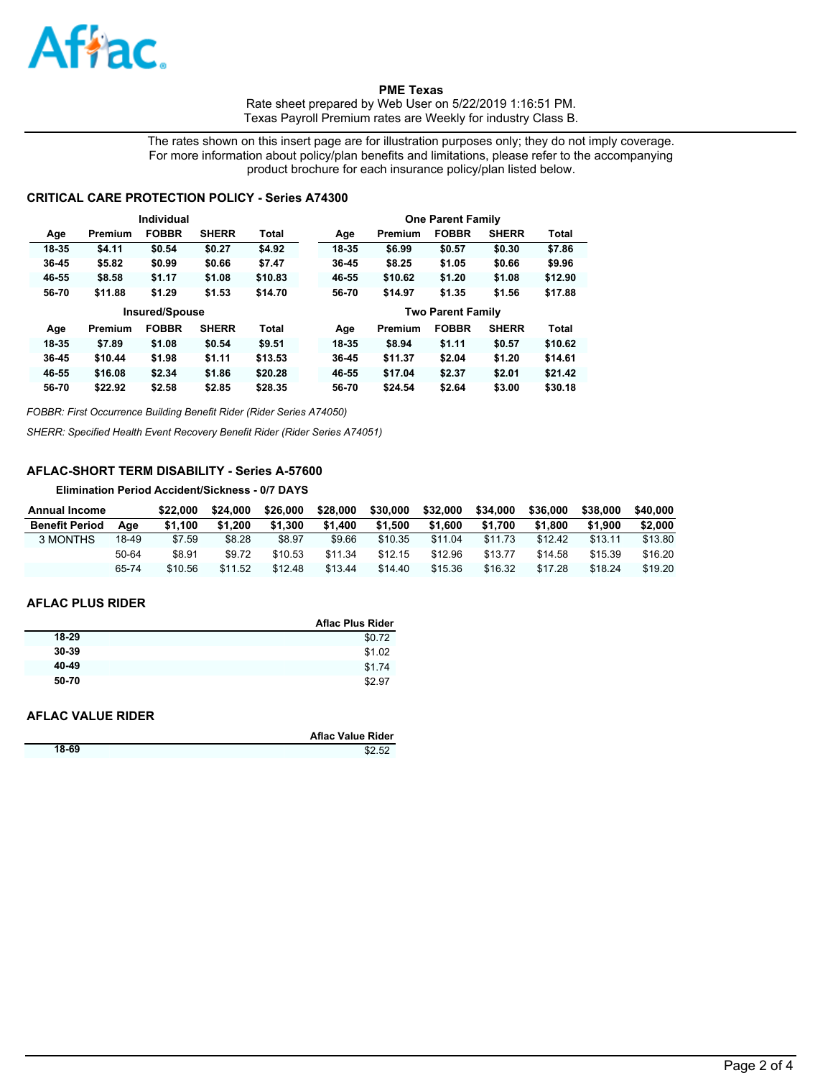

The rates shown on this insert page are for illustration purposes only; they do not imply coverage. For more information about policy/plan benefits and limitations, please refer to the accompanying product brochure for each insurance policy/plan listed below.

## **CRITICAL CARE PROTECTION POLICY - Series A74300**

|           |         | Individual            |              |              |       |         | <b>One Parent Family</b> |              |              |
|-----------|---------|-----------------------|--------------|--------------|-------|---------|--------------------------|--------------|--------------|
| Age       | Premium | <b>FOBBR</b>          | <b>SHERR</b> | Total        | Age   | Premium | <b>FOBBR</b>             | <b>SHERR</b> | Total        |
| 18-35     | \$4.11  | \$0.54                | \$0.27       | \$4.92       | 18-35 | \$6.99  | \$0.57                   | \$0.30       | \$7.86       |
| 36-45     | \$5.82  | \$0.99                | \$0.66       | \$7.47       | 36-45 | \$8.25  | \$1.05                   | \$0.66       | \$9.96       |
| 46-55     | \$8.58  | \$1.17                | \$1.08       | \$10.83      | 46-55 | \$10.62 | \$1.20                   | \$1.08       | \$12.90      |
| 56-70     | \$11.88 | \$1.29                | \$1.53       | \$14.70      | 56-70 | \$14.97 | \$1.35                   | \$1.56       | \$17.88      |
|           |         |                       |              |              |       |         |                          |              |              |
|           |         | <b>Insured/Spouse</b> |              |              |       |         | <b>Two Parent Family</b> |              |              |
| Age       | Premium | <b>FOBBR</b>          | <b>SHERR</b> | <b>Total</b> | Age   | Premium | <b>FOBBR</b>             | <b>SHERR</b> | <b>Total</b> |
| 18-35     | \$7.89  | \$1.08                | \$0.54       | \$9.51       | 18-35 | \$8.94  | \$1.11                   | \$0.57       | \$10.62      |
| $36 - 45$ | \$10.44 | \$1.98                | \$1.11       | \$13.53      | 36-45 | \$11.37 | \$2.04                   | \$1.20       | \$14.61      |
| 46-55     | \$16.08 | \$2.34                | \$1.86       | \$20.28      | 46-55 | \$17.04 | \$2.37                   | \$2.01       | \$21.42      |

*FOBBR: First Occurrence Building Benefit Rider (Rider Series A74050)*

*SHERR: Specified Health Event Recovery Benefit Rider (Rider Series A74051)*

# **AFLAC-SHORT TERM DISABILITY - Series A-57600**

**Elimination Period Accident/Sickness - 0/7 DAYS**

| <b>Annual Income</b>  |       | \$22.000 | \$24.000 | \$26,000 | \$28,000 | \$30,000 | \$32,000 | \$34,000 | \$36,000 | \$38,000 | \$40,000 |
|-----------------------|-------|----------|----------|----------|----------|----------|----------|----------|----------|----------|----------|
| <b>Benefit Period</b> | Aae   | \$1.100  | \$1.200  | \$1.300  | \$1.400  | \$1.500  | \$1.600  | \$1.700  | \$1.800  | \$1,900  | \$2,000  |
| 3 MONTHS              | 18-49 | \$7.59   | \$8.28   | \$8.97   | \$9.66   | \$10.35  | \$11.04  | \$11.73  | \$12.42  | \$13.11  | \$13.80  |
|                       | 50-64 | \$8.91   | \$9.72   | \$10.53  | \$11.34  | \$12.15  | \$12.96  | \$13.77  | \$14.58  | \$15.39  | \$16.20  |
|                       | 65-74 | \$10.56  | \$11.52  | \$12.48  | \$13.44  | \$14.40  | \$15.36  | \$16.32  | \$17.28  | \$18.24  | \$19.20  |

#### **AFLAC PLUS RIDER**

|           | <b>Aflac Plus Rider</b> |
|-----------|-------------------------|
| 18-29     | \$0.72                  |
| $30 - 39$ | \$1.02                  |
| 40-49     | \$1.74                  |
| 50-70     | \$2.97                  |

#### **AFLAC VALUE RIDER**

|       | <b>Aflac Value Rider</b> |
|-------|--------------------------|
| 18-69 | \$2.52                   |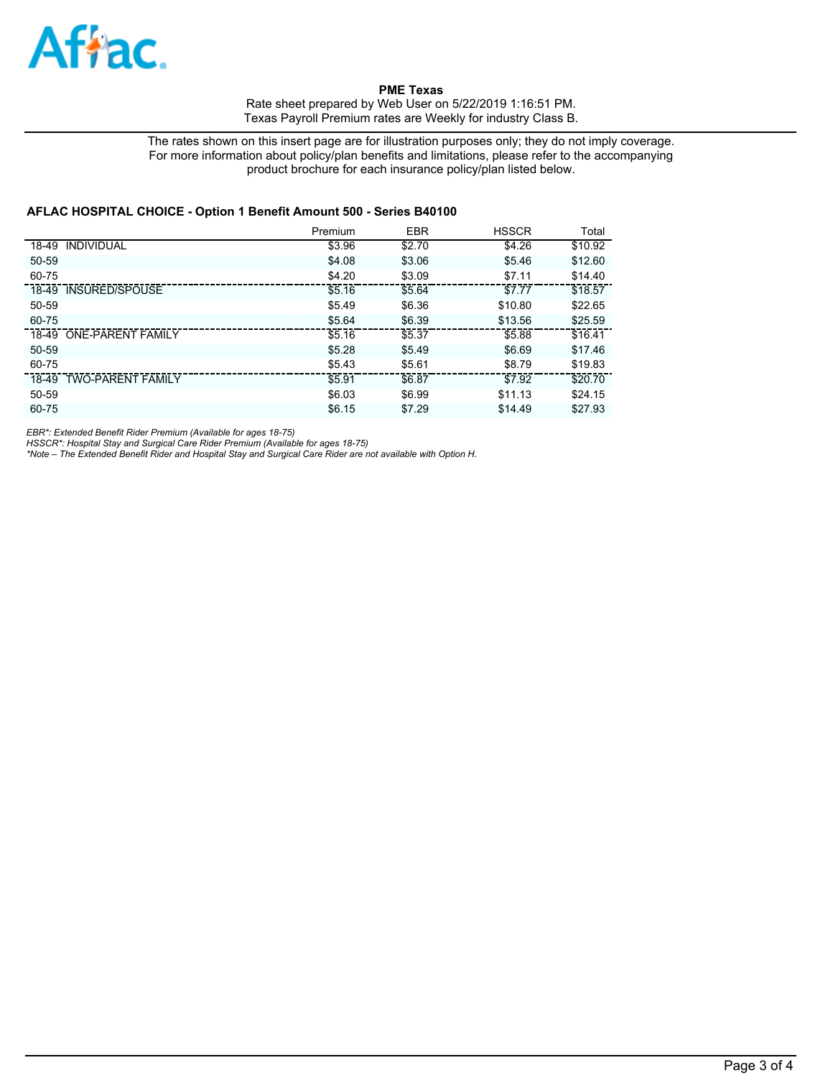

The rates shown on this insert page are for illustration purposes only; they do not imply coverage. For more information about policy/plan benefits and limitations, please refer to the accompanying product brochure for each insurance policy/plan listed below.

#### **AFLAC HOSPITAL CHOICE - Option 1 Benefit Amount 500 - Series B40100**

|                         | Premium | <b>EBR</b> | <b>HSSCR</b> | Total   |
|-------------------------|---------|------------|--------------|---------|
| 18-49 INDIVIDUAL        | \$3.96  | \$2.70     | \$4.26       | \$10.92 |
| 50-59                   | \$4.08  | \$3.06     | \$5.46       | \$12.60 |
| 60-75                   | \$4.20  | \$3.09     | \$7.11       | \$14.40 |
| 18-49 INSURED/SPOUSE    | \$5.16  | \$5.64     | \$7.77       | \$18.57 |
| 50-59                   | \$5.49  | \$6.36     | \$10.80      | \$22.65 |
| 60-75                   | \$5.64  | \$6.39     | \$13.56      | \$25.59 |
| 18-49 ONE-PARENT FAMILY | \$5.16  | \$5.37     | \$5.88       | \$16.41 |
| 50-59                   | \$5.28  | \$5.49     | \$6.69       | \$17.46 |
| 60-75                   | \$5.43  | \$5.61     | \$8.79       | \$19.83 |
| 18-49 TWO-PARENT FAMILY | \$5.91  | \$6.87     | \$7.92       | \$20.70 |
| 50-59                   | \$6.03  | \$6.99     | \$11.13      | \$24.15 |
| 60-75                   | \$6.15  | \$7.29     | \$14.49      | \$27.93 |

*EBR\*: Extended Benefit Rider Premium (Available for ages 18-75)*

*HSSCR\*: Hospital Stay and Surgical Care Rider Premium (Available for ages 18-75) \*Note – The Extended Benefit Rider and Hospital Stay and Surgical Care Rider are not available with Option H.*